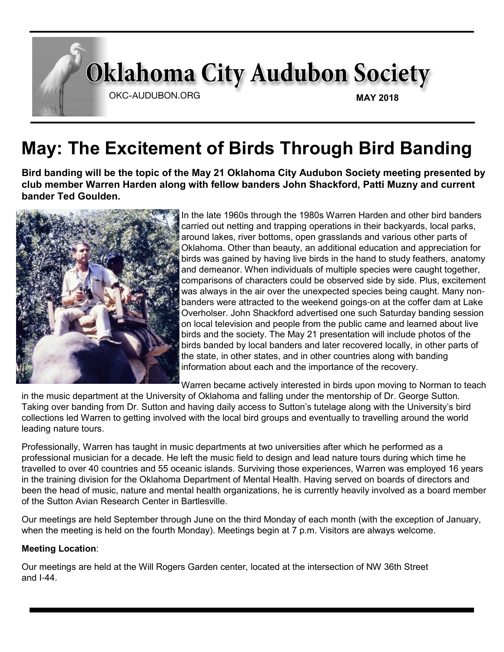# **Oklahoma City Audubon Society** OKC-AUDUBON.ORG **MAY 2018**

# **May: The Excitement of Birds Through Bird Banding**

**Bird banding will be the topic of the May 21 Oklahoma City Audubon Society meeting presented by club member Warren Harden along with fellow banders John Shackford, Patti Muzny and current bander Ted Goulden.**



In the late 1960s through the 1980s Warren Harden and other bird banders carried out netting and trapping operations in their backyards, local parks, around lakes, river bottoms, open grasslands and various other parts of Oklahoma. Other than beauty, an additional education and appreciation for birds was gained by having live birds in the hand to study feathers, anatomy and demeanor. When individuals of multiple species were caught together, comparisons of characters could be observed side by side. Plus, excitement was always in the air over the unexpected species being caught. Many nonbanders were attracted to the weekend goings-on at the coffer dam at Lake Overholser. John Shackford advertised one such Saturday banding session on local television and people from the public came and learned about live birds and the society. The May 21 presentation will include photos of the birds banded by local banders and later recovered locally, in other parts of the state, in other states, and in other countries along with banding information about each and the importance of the recovery.

Warren became actively interested in birds upon moving to Norman to teach

in the music department at the University of Oklahoma and falling under the mentorship of Dr. George Sutton. Taking over banding from Dr. Sutton and having daily access to Sutton's tutelage along with the University's bird collections led Warren to getting involved with the local bird groups and eventually to travelling around the world leading nature tours.

Professionally, Warren has taught in music departments at two universities after which he performed as a professional musician for a decade. He left the music field to design and lead nature tours during which time he travelled to over 40 countries and 55 oceanic islands. Surviving those experiences, Warren was employed 16 years in the training division for the Oklahoma Department of Mental Health. Having served on boards of directors and been the head of music, nature and mental health organizations, he is currently heavily involved as a board member of the Sutton Avian Research Center in Bartlesville.

Our meetings are held September through June on the third Monday of each month (with the exception of January, when the meeting is held on the fourth Monday). Meetings begin at 7 p.m. Visitors are always welcome.

#### **Meeting Location**:

Our meetings are held at the Will Rogers Garden center, located at the intersection of NW 36th Street and I-44.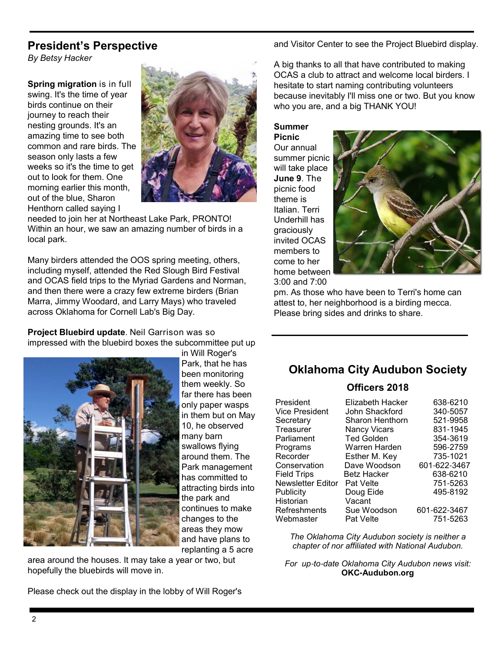### **President's Perspective**

*By Betsy Hacker*

**Spring migration** is in full swing. It's the time of year birds continue on their journey to reach their nesting grounds. It's an amazing time to see both common and rare birds. The season only lasts a few weeks so it's the time to get out to look for them. One morning earlier this month, out of the blue, Sharon Henthorn called saying I



needed to join her at Northeast Lake Park, PRONTO! Within an hour, we saw an amazing number of birds in a local park.

Many birders attended the OOS spring meeting, others, including myself, attended the Red Slough Bird Festival and OCAS field trips to the Myriad Gardens and Norman, and then there were a crazy few extreme birders (Brian Marra, Jimmy Woodard, and Larry Mays) who traveled across Oklahoma for Cornell Lab's Big Day.

**Project Bluebird update**. Neil Garrison was so impressed with the bluebird boxes the subcommittee put up



in Will Roger's Park, that he has been monitoring them weekly. So far there has been only paper wasps in them but on May 10, he observed many barn swallows flying around them. The Park management has committed to attracting birds into the park and continues to make changes to the areas they mow and have plans to replanting a 5 acre

area around the houses. It may take a year or two, but hopefully the bluebirds will move in.

Please check out the display in the lobby of Will Roger's

and Visitor Center to see the Project Bluebird display.

A big thanks to all that have contributed to making OCAS a club to attract and welcome local birders. I hesitate to start naming contributing volunteers because inevitably I'll miss one or two. But you know who you are, and a big THANK YOU!

**Summer Picnic** Our annual summer picnic will take place **June 9**. The picnic food theme is Italian. Terri Underhill has graciously invited OCAS members to come to her home between 3:00 and 7:00



pm. As those who have been to Terri's home can attest to, her neighborhood is a birding mecca. Please bring sides and drinks to share.

## **Oklahoma City Audubon Society**

#### **Officers 2018**

| President                | Elizabeth Hacker       | 638-6210     |
|--------------------------|------------------------|--------------|
| <b>Vice President</b>    | John Shackford         | 340-5057     |
| Secretary                | <b>Sharon Henthorn</b> | 521-9958     |
| Treasurer                | <b>Nancy Vicars</b>    | 831-1945     |
| Parliament               | <b>Ted Golden</b>      | 354-3619     |
| Programs                 | Warren Harden          | 596-2759     |
| Recorder                 | Esther M. Key          | 735-1021     |
| Conservation             | Dave Woodson           | 601-622-3467 |
| <b>Field Trips</b>       | <b>Betz Hacker</b>     | 638-6210     |
| <b>Newsletter Editor</b> | <b>Pat Velte</b>       | 751-5263     |
| Publicity                | Doug Eide              | 495-8192     |
| Historian                | Vacant                 |              |
| Refreshments             | Sue Woodson            | 601-622-3467 |
| Webmaster                | Pat Velte              | 751-5263     |

*The Oklahoma City Audubon society is neither a chapter of nor affiliated with National Audubon.*

*For up*-*to*-*date Oklahoma City Audubon news visit:* **OKC-Audubon.org**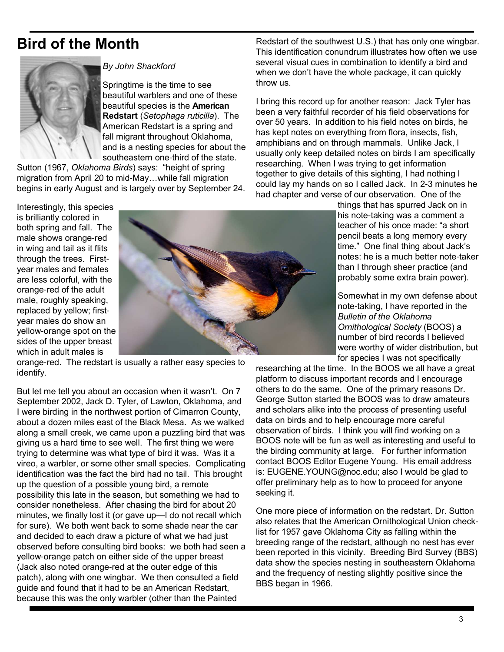## **Bird of the Month**



#### *By John Shackford*

Springtime is the time to see beautiful warblers and one of these beautiful species is the **American Redstart** (*Setophaga ruticilla*). The American Redstart is a spring and fall migrant throughout Oklahoma, and is a nesting species for about the southeastern one-third of the state.

Sutton (1967, *Oklahoma Birds*) says: "height of spring migration from April 20 to mid-May…while fall migration begins in early August and is largely over by September 24.

Redstart of the southwest U.S.) that has only one wingbar. This identification conundrum illustrates how often we use several visual cues in combination to identify a bird and when we don't have the whole package, it can quickly throw us.

I bring this record up for another reason: Jack Tyler has been a very faithful recorder of his field observations for over 50 years. In addition to his field notes on birds, he has kept notes on everything from flora, insects, fish, amphibians and on through mammals. Unlike Jack, I usually only keep detailed notes on birds I am specifically researching. When I was trying to get information together to give details of this sighting, I had nothing I could lay my hands on so I called Jack. In 2-3 minutes he had chapter and verse of our observation. One of the

Interestingly, this species is brilliantly colored in both spring and fall. The male shows orange-red in wing and tail as it flits through the trees. Firstyear males and females are less colorful, with the orange-red of the adult male, roughly speaking, replaced by yellow; firstyear males do show an yellow-orange spot on the sides of the upper breast which in adult males is



orange-red. The redstart is usually a rather easy species to identify.

But let me tell you about an occasion when it wasn't. On 7 September 2002, Jack D. Tyler, of Lawton, Oklahoma, and I were birding in the northwest portion of Cimarron County, about a dozen miles east of the Black Mesa. As we walked along a small creek, we came upon a puzzling bird that was giving us a hard time to see well. The first thing we were trying to determine was what type of bird it was. Was it a vireo, a warbler, or some other small species. Complicating identification was the fact the bird had no tail. This brought up the question of a possible young bird, a remote possibility this late in the season, but something we had to consider nonetheless. After chasing the bird for about 20 minutes, we finally lost it (or gave up—I do not recall which for sure). We both went back to some shade near the car and decided to each draw a picture of what we had just observed before consulting bird books: we both had seen a yellow-orange patch on either side of the upper breast (Jack also noted orange-red at the outer edge of this patch), along with one wingbar. We then consulted a field guide and found that it had to be an American Redstart, because this was the only warbler (other than the Painted

things that has spurred Jack on in his note-taking was a comment a teacher of his once made: "a short pencil beats a long memory every time." One final thing about Jack's notes: he is a much better note-taker than I through sheer practice (and probably some extra brain power).

Somewhat in my own defense about note-taking, I have reported in the *Bulletin of the Oklahoma Ornithological Society* (BOOS) a number of bird records I believed were worthy of wider distribution, but for species I was not specifically

researching at the time. In the BOOS we all have a great platform to discuss important records and I encourage others to do the same. One of the primary reasons Dr. George Sutton started the BOOS was to draw amateurs and scholars alike into the process of presenting useful data on birds and to help encourage more careful observation of birds. I think you will find working on a BOOS note will be fun as well as interesting and useful to the birding community at large. For further information contact BOOS Editor Eugene Young. His email address is: EUGENE.YOUNG@noc.edu; also I would be glad to offer preliminary help as to how to proceed for anyone seeking it.

One more piece of information on the redstart. Dr. Sutton also relates that the American Ornithological Union checklist for 1957 gave Oklahoma City as falling within the breeding range of the redstart, although no nest has ever been reported in this vicinity. Breeding Bird Survey (BBS) data show the species nesting in southeastern Oklahoma and the frequency of nesting slightly positive since the BBS began in 1966.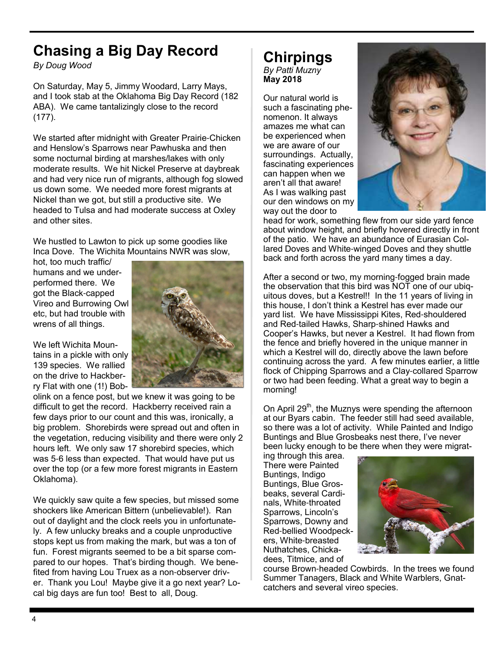# **Chasing a Big Day Record**

*By Doug Wood*

On Saturday, May 5, Jimmy Woodard, Larry Mays, and I took stab at the Oklahoma Big Day Record (182 ABA). We came tantalizingly close to the record (177).

We started after midnight with Greater Prairie-Chicken and Henslow's Sparrows near Pawhuska and then some nocturnal birding at marshes/lakes with only moderate results. We hit Nickel Preserve at daybreak and had very nice run of migrants, although fog slowed us down some. We needed more forest migrants at Nickel than we got, but still a productive site. We headed to Tulsa and had moderate success at Oxley and other sites.

We hustled to Lawton to pick up some goodies like Inca Dove. The Wichita Mountains NWR was slow,

hot, too much traffic/ humans and we underperformed there. We got the Black-capped Vireo and Burrowing Owl etc, but had trouble with wrens of all things.



We left Wichita Mountains in a pickle with only 139 species. We rallied on the drive to Hackberry Flat with one (1!) Bob-

olink on a fence post, but we knew it was going to be difficult to get the record. Hackberry received rain a few days prior to our count and this was, ironically, a big problem. Shorebirds were spread out and often in the vegetation, reducing visibility and there were only 2 hours left. We only saw 17 shorebird species, which was 5-6 less than expected. That would have put us over the top (or a few more forest migrants in Eastern Oklahoma).

We quickly saw quite a few species, but missed some shockers like American Bittern (unbelievable!). Ran out of daylight and the clock reels you in unfortunately. A few unlucky breaks and a couple unproductive stops kept us from making the mark, but was a ton of fun. Forest migrants seemed to be a bit sparse compared to our hopes. That's birding though. We benefited from having Lou Truex as a non-observer driver. Thank you Lou! Maybe give it a go next year? Local big days are fun too! Best to all, Doug.

#### **Chirpings** *By Patti Muzny* **May 2018**

Our natural world is such a fascinating phenomenon. It always amazes me what can be experienced when we are aware of our surroundings. Actually, fascinating experiences can happen when we aren't all that aware! As I was walking past our den windows on my way out the door to



head for work, something flew from our side yard fence about window height, and briefly hovered directly in front of the patio. We have an abundance of Eurasian Collared Doves and White-winged Doves and they shuttle back and forth across the yard many times a day.

After a second or two, my morning-fogged brain made the observation that this bird was NOT one of our ubiquitous doves, but a Kestrel!! In the 11 years of living in this house, I don't think a Kestrel has ever made our yard list. We have Mississippi Kites, Red-shouldered and Red-tailed Hawks, Sharp-shined Hawks and Cooper's Hawks, but never a Kestrel. It had flown from the fence and briefly hovered in the unique manner in which a Kestrel will do, directly above the lawn before continuing across the yard. A few minutes earlier, a little flock of Chipping Sparrows and a Clay-collared Sparrow or two had been feeding. What a great way to begin a morning!

On April 29<sup>th</sup>, the Muznys were spending the afternoon at our Byars cabin. The feeder still had seed available, so there was a lot of activity. While Painted and Indigo Buntings and Blue Grosbeaks nest there, I've never been lucky enough to be there when they were migrat-

ing through this area. There were Painted Buntings, Indigo Buntings, Blue Grosbeaks, several Cardinals, White-throated Sparrows, Lincoln's Sparrows, Downy and Red-bellied Woodpeckers, White-breasted Nuthatches, Chickadees, Titmice, and of



course Brown-headed Cowbirds. In the trees we found Summer Tanagers, Black and White Warblers, Gnatcatchers and several vireo species.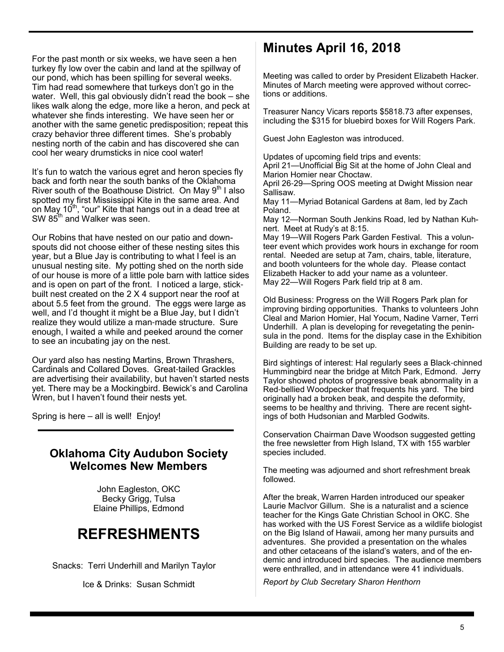For the past month or six weeks, we have seen a hen turkey fly low over the cabin and land at the spillway of our pond, which has been spilling for several weeks. Tim had read somewhere that turkeys don't go in the water. Well, this gal obviously didn't read the book – she likes walk along the edge, more like a heron, and peck at whatever she finds interesting. We have seen her or another with the same genetic predisposition; repeat this crazy behavior three different times. She's probably nesting north of the cabin and has discovered she can cool her weary drumsticks in nice cool water!

It's fun to watch the various egret and heron species fly back and forth near the south banks of the Oklahoma River south of the Boathouse District. On May  $9<sup>th</sup>$  I also spotted my first Mississippi Kite in the same area. And on May 10<sup>th</sup>, "our" Kite that hangs out in a dead tree at  $SW 85<sup>th</sup>$  and Walker was seen.

Our Robins that have nested on our patio and downspouts did not choose either of these nesting sites this year, but a Blue Jay is contributing to what I feel is an unusual nesting site. My potting shed on the north side of our house is more of a little pole barn with lattice sides and is open on part of the front. I noticed a large, stickbuilt nest created on the 2 X 4 support near the roof at about 5.5 feet from the ground. The eggs were large as well, and I'd thought it might be a Blue Jay, but I didn't realize they would utilize a man-made structure. Sure enough, I waited a while and peeked around the corner to see an incubating jay on the nest.

Our yard also has nesting Martins, Brown Thrashers, Cardinals and Collared Doves. Great-tailed Grackles are advertising their availability, but haven't started nests yet. There may be a Mockingbird. Bewick's and Carolina Wren, but I haven't found their nests yet.

Spring is here – all is well! Enjoy!

### **Oklahoma City Audubon Society Welcomes New Members**

John Eagleston, OKC Becky Grigg, Tulsa Elaine Phillips, Edmond

# **REFRESHMENTS**

Snacks: Terri Underhill and Marilyn Taylor

Ice & Drinks: Susan Schmidt

## **Minutes April 16, 2018**

Meeting was called to order by President Elizabeth Hacker. Minutes of March meeting were approved without corrections or additions.

Treasurer Nancy Vicars reports \$5818.73 after expenses, including the \$315 for bluebird boxes for Will Rogers Park.

Guest John Eagleston was introduced.

Updates of upcoming field trips and events: April 21—Unofficial Big Sit at the home of John Cleal and Marion Homier near Choctaw.

April 26-29—Spring OOS meeting at Dwight Mission near Sallisaw.

May 11—Myriad Botanical Gardens at 8am, led by Zach Poland.

May 12—Norman South Jenkins Road, led by Nathan Kuhnert. Meet at Rudy's at 8:15.

May 19—Will Rogers Park Garden Festival. This a volunteer event which provides work hours in exchange for room rental. Needed are setup at 7am, chairs, table, literature, and booth volunteers for the whole day. Please contact Elizabeth Hacker to add your name as a volunteer. May 22—Will Rogers Park field trip at 8 am.

Old Business: Progress on the Will Rogers Park plan for improving birding opportunities. Thanks to volunteers John Cleal and Marion Homier, Hal Yocum, Nadine Varner, Terri Underhill. A plan is developing for revegetating the peninsula in the pond. Items for the display case in the Exhibition Building are ready to be set up.

Bird sightings of interest: Hal regularly sees a Black-chinned Hummingbird near the bridge at Mitch Park, Edmond. Jerry Taylor showed photos of progressive beak abnormality in a Red-bellied Woodpecker that frequents his yard. The bird originally had a broken beak, and despite the deformity, seems to be healthy and thriving. There are recent sightings of both Hudsonian and Marbled Godwits.

Conservation Chairman Dave Woodson suggested getting the free newsletter from High Island, TX with 155 warbler species included.

The meeting was adjourned and short refreshment break followed.

After the break, Warren Harden introduced our speaker Laurie MacIvor Gillum. She is a naturalist and a science teacher for the Kings Gate Christian School in OKC. She has worked with the US Forest Service as a wildlife biologist on the Big Island of Hawaii, among her many pursuits and adventures. She provided a presentation on the whales and other cetaceans of the island's waters, and of the endemic and introduced bird species. The audience members were enthralled, and in attendance were 41 individuals.

*Report by Club Secretary Sharon Henthorn*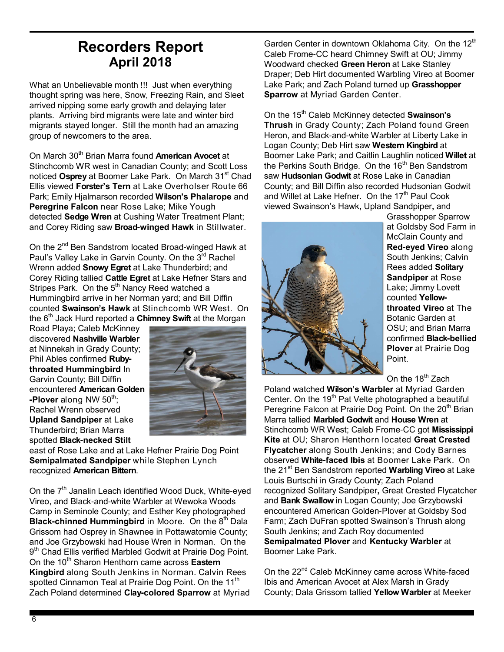## **Recorders Report April 2018**

What an Unbelievable month !!! Just when everything thought spring was here, Snow, Freezing Rain, and Sleet arrived nipping some early growth and delaying later plants. Arriving bird migrants were late and winter bird migrants stayed longer. Still the month had an amazing group of newcomers to the area.

On March 30<sup>th</sup> Brian Marra found **American Avocet** at Stinchcomb WR west in Canadian County; and Scott Loss noticed Osprey at Boomer Lake Park. On March 31<sup>st</sup> Chad Ellis viewed **Forster's Tern** at Lake Overholser Route 66 Park; Emily Hjalmarson recorded **Wilson's Phalarope** and **Peregrine Falcon** near Rose Lake; Mike Yough detected **Sedge Wren** at Cushing Water Treatment Plant; and Corey Riding saw **Broad-winged Hawk** in Stillwater.

On the 2<sup>nd</sup> Ben Sandstrom located Broad-winged Hawk at Paul's Valley Lake in Garvin County. On the 3rd Rachel Wrenn added **Snowy Egret** at Lake Thunderbird; and Corey Riding tallied **Cattle Egret** at Lake Hefner Stars and Stripes Park. On the  $5<sup>th</sup>$  Nancy Reed watched a Hummingbird arrive in her Norman yard; and Bill Diffin counted **Swainson's Hawk** at Stinchcomb WR West. On the 6<sup>th</sup> Jack Hurd reported a **Chimney Swift** at the Morgan

Road Playa; Caleb McKinney discovered **Nashville Warbler** at Ninnekah in Grady County; Phil Ables confirmed **Rubythroated Hummingbird** In Garvin County; Bill Diffin encountered **American Golden -Plover** along NW 50<sup>th</sup>; Rachel Wrenn observed **Upland Sandpiper** at Lake Thunderbird; Brian Marra spotted **Black-necked Stilt**



east of Rose Lake and at Lake Hefner Prairie Dog Point **Semipalmated Sandpiper** while Stephen Lynch recognized **American Bittern**.

On the 7<sup>th</sup> Janalin Leach identified Wood Duck, White-eved Vireo, and Black-and-white Warbler at Wewoka Woods Camp in Seminole County; and Esther Key photographed **Black-chinned Hummingbird** in Moore. On the 8<sup>th</sup> Dala Grissom had Osprey in Shawnee in Pottawatomie County; and Joe Grzybowski had House Wren in Norman. On the 9<sup>th</sup> Chad Ellis verified Marbled Godwit at Prairie Dog Point. On the 10th Sharon Henthorn came across **Eastern Kingbird** along South Jenkins in Norman. Calvin Rees spotted Cinnamon Teal at Prairie Dog Point. On the 11 $^{\rm th}$ Zach Poland determined **Clay-colored Sparrow** at Myriad

Garden Center in downtown Oklahoma City. On the 12<sup>th</sup> Caleb Frome-CC heard Chimney Swift at OU; Jimmy Woodward checked **Green Heron** at Lake Stanley Draper; Deb Hirt documented Warbling Vireo at Boomer Lake Park; and Zach Poland turned up **Grasshopper Sparrow** at Myriad Garden Center.

On the 15th Caleb McKinney detected **Swainson's Thrush** in Grady County; Zach Poland found Green Heron, and Black-and-white Warbler at Liberty Lake in Logan County; Deb Hirt saw **Western Kingbird** at Boomer Lake Park; and Caitlin Laughlin noticed **Willet** at the Perkins South Bridge. On the 16<sup>th</sup> Ben Sandstrom saw **Hudsonian Godwit** at Rose Lake in Canadian County; and Bill Diffin also recorded Hudsonian Godwit and Willet at Lake Hefner. On the 17<sup>th</sup> Paul Cook viewed Swainson's Hawk**,** Upland Sandpiper**,** and



Grasshopper Sparrow at Goldsby Sod Farm in McClain County and **Red-eyed Vireo** along South Jenkins; Calvin Rees added **Solitary Sandpiper** at Rose Lake; Jimmy Lovett counted **Yellowthroated Vireo** at The Botanic Garden at OSU; and Brian Marra confirmed **Black-bellied Plover** at Prairie Dog Point.

On the 18<sup>th</sup> Zach

Poland watched **Wilson's Warbler** at Myriad Garden Center. On the 19<sup>th</sup> Pat Velte photographed a beautiful Peregrine Falcon at Prairie Dog Point. On the 20<sup>th</sup> Brian Marra tallied **Marbled Godwit** and **House Wren** at Stinchcomb WR West; Caleb Frome-CC got **Mississippi Kite** at OU; Sharon Henthorn located **Great Crested Flycatcher** along South Jenkins; and Cody Barnes observed **White-faced Ibis** at Boomer Lake Park. On the 21st Ben Sandstrom reported **Warbling Vireo** at Lake Louis Burtschi in Grady County; Zach Poland recognized Solitary Sandpiper**,** Great Crested Flycatcher and **Bank Swallow** in Logan County; Joe Grzybowsk**i** encountered American Golden-Plover at Goldsby Sod Farm; Zach DuFran spotted Swainson's Thrush along South Jenkins; and Zach Roy documented **Semipalmated Plover** and **Kentucky Warbler** at Boomer Lake Park.

On the 22<sup>nd</sup> Caleb McKinney came across White-faced Ibis and American Avocet at Alex Marsh in Grady County; Dala Grissom tallied **Yellow Warbler** at Meeker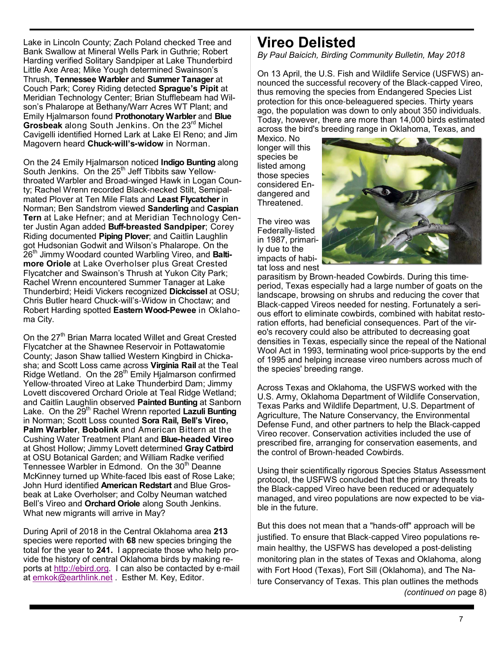Lake in Lincoln County; Zach Poland checked Tree and Bank Swallow at Mineral Wells Park in Guthrie; Robert Harding verified Solitary Sandpiper at Lake Thunderbird Little Axe Area; Mike Yough determined Swainson's Thrush, **Tennessee Warbler** and **Summer Tanager** at Couch Park; Corey Riding detected **Sprague's Pipit** at Meridian Technology Center; Brian Stufflebeam had Wilson's Phalarope at Bethany/Warr Acres WT Plant; and Emily Hjalmarson found **Prothonotary Warbler** and **Blue**  Grosbeak along South Jenkins. On the 23<sup>rd</sup> Michel Cavigelli identified Horned Lark at Lake El Reno; and Jim Magovern heard **Chuck-will's-widow** in Norman.

On the 24 Emily Hjalmarson noticed **Indigo Bunting** along South Jenkins. On the  $25<sup>th</sup>$  Jeff Tibbits saw Yellowthroated Warbler and Broad-winged Hawk in Logan County; Rachel Wrenn recorded Black-necked Stilt, Semipalmated Plover at Ten Mile Flats and **Least Flycatcher** in Norman; Ben Sandstrom viewed **Sanderling** and **Caspian Tern** at Lake Hefner; and at Meridian Technology Center Justin Agan added **Buff-breasted Sandpiper**; Corey Riding documented **Piping Plover**; and Caitlin Laughlin got Hudsonian Godwit and Wilson's Phalarope. On the 26th Jimmy Woodard counted Warbling Vireo, and **Baltimore Oriole** at Lake Overholser plus Great Crested Flycatcher and Swainson's Thrush at Yukon City Park; Rachel Wrenn encountered Summer Tanager at Lake Thunderbird; Heidi Vickers recognized **Dickcissel** at OSU; Chris Butler heard Chuck-will's-Widow in Choctaw; and Robert Harding spotted **Eastern Wood-Pewee** in Oklahoma City.

On the 27<sup>th</sup> Brian Marra located Willet and Great Crested Flycatcher at the Shawnee Reservoir in Pottawatomie County; Jason Shaw tallied Western Kingbird in Chickasha; and Scott Loss came across **Virginia Rail** at the Teal Ridge Wetland. On the  $28<sup>th</sup>$  Emily Hjalmarson confirmed Yellow-throated Vireo at Lake Thunderbird Dam; Jimmy Lovett discovered Orchard Oriole at Teal Ridge Wetland; and Caitlin Laughlin observed **Painted Bunting** at Sanborn Lake. On the 29<sup>th</sup> Rachel Wrenn reported Lazuli Bunting in Norman; Scott Loss counted **Sora Rail, Bell's Vireo, Palm Warbler**, **Bobolink** and American Bittern at the Cushing Water Treatment Plant and **Blue-headed Vireo** at Ghost Hollow; Jimmy Lovett determined **Gray Catbird** at OSU Botanical Garden; and William Radke verified Tennessee Warbler in Edmond. On the 30<sup>th</sup> Deanne McKinney turned up White-faced Ibis east of Rose Lake; John Hurd identified **American Redstart** and Blue Grosbeak at Lake Overholser; and Colby Neuman watched Bell's Vireo and **Orchard Oriole** along South Jenkins. What new migrants will arrive in May?

During April of 2018 in the Central Oklahoma area **213** species were reported with **68** new species bringing the total for the year to **241.** I appreciate those who help provide the history of central Oklahoma birds by making reports at http://ebird.org. I can also be contacted by e-mail at emkok@earthlink.net . Esther M. Key, Editor.

## **Vireo Delisted**

*By Paul Baicich, Birding Community Bulletin, May 2018*

On 13 April, the U.S. Fish and Wildlife Service (USFWS) announced the successful recovery of the Black-capped Vireo, thus removing the species from Endangered Species List protection for this once-beleaguered species. Thirty years ago, the population was down to only about 350 individuals. Today, however, there are more than 14,000 birds estimated across the bird's breeding range in Oklahoma, Texas, and

Mexico. No longer will this species be listed among those species considered Endangered and Threatened.

The vireo was Federally-listed in 1987, primarily due to the impacts of habitat loss and nest



parasitism by Brown-headed Cowbirds. During this timeperiod, Texas especially had a large number of goats on the landscape, browsing on shrubs and reducing the cover that Black-capped Vireos needed for nesting. Fortunately a serious effort to eliminate cowbirds, combined with habitat restoration efforts, had beneficial consequences. Part of the vireo's recovery could also be attributed to decreasing goat densities in Texas, especially since the repeal of the National Wool Act in 1993, terminating wool price-supports by the end of 1995 and helping increase vireo numbers across much of the species' breeding range.

Across Texas and Oklahoma, the USFWS worked with the U.S. Army, Oklahoma Department of Wildlife Conservation, Texas Parks and Wildlife Department, U.S. Department of Agriculture, The Nature Conservancy, the Environmental Defense Fund, and other partners to help the Black-capped Vireo recover. Conservation activities included the use of prescribed fire, arranging for conservation easements, and the control of Brown-headed Cowbirds.

Using their scientifically rigorous Species Status Assessment protocol, the USFWS concluded that the primary threats to the Black-capped Vireo have been reduced or adequately managed, and vireo populations are now expected to be viable in the future.

But this does not mean that a "hands-off" approach will be justified. To ensure that Black-capped Vireo populations remain healthy, the USFWS has developed a post-delisting monitoring plan in the states of Texas and Oklahoma, along with Fort Hood (Texas), Fort Sill (Oklahoma), and The Nature Conservancy of Texas. This plan outlines the methods *(continued on* page 8)